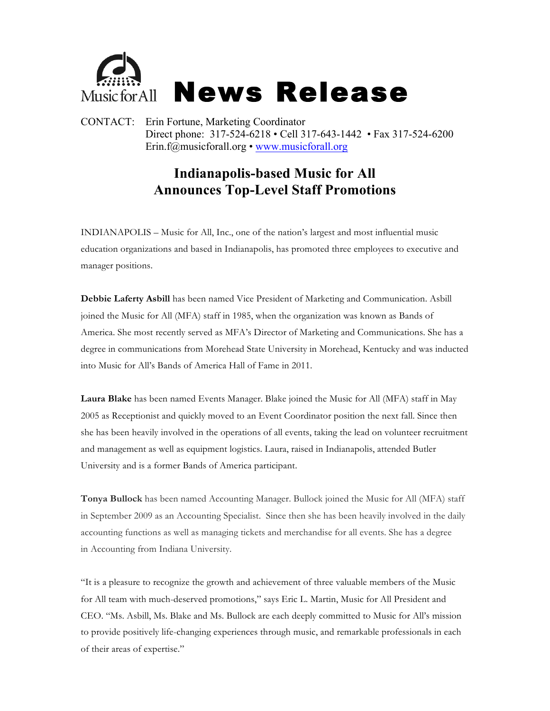

CONTACT: Erin Fortune, Marketing Coordinator Direct phone: 317-524-6218 • Cell 317-643-1442 • Fax 317-524-6200 Erin.f@musicforall.org • www.musicforall.org

## **Indianapolis-based Music for All Announces Top-Level Staff Promotions**

INDIANAPOLIS – Music for All, Inc., one of the nation's largest and most influential music education organizations and based in Indianapolis, has promoted three employees to executive and manager positions.

**Debbie Laferty Asbill** has been named Vice President of Marketing and Communication. Asbill joined the Music for All (MFA) staff in 1985, when the organization was known as Bands of America. She most recently served as MFA's Director of Marketing and Communications. She has a degree in communications from Morehead State University in Morehead, Kentucky and was inducted into Music for All's Bands of America Hall of Fame in 2011.

**Laura Blake** has been named Events Manager. Blake joined the Music for All (MFA) staff in May 2005 as Receptionist and quickly moved to an Event Coordinator position the next fall. Since then she has been heavily involved in the operations of all events, taking the lead on volunteer recruitment and management as well as equipment logistics. Laura, raised in Indianapolis, attended Butler University and is a former Bands of America participant.

**Tonya Bullock** has been named Accounting Manager. Bullock joined the Music for All (MFA) staff in September 2009 as an Accounting Specialist. Since then she has been heavily involved in the daily accounting functions as well as managing tickets and merchandise for all events. She has a degree in Accounting from Indiana University.

"It is a pleasure to recognize the growth and achievement of three valuable members of the Music for All team with much-deserved promotions," says Eric L. Martin, Music for All President and CEO. "Ms. Asbill, Ms. Blake and Ms. Bullock are each deeply committed to Music for All's mission to provide positively life-changing experiences through music, and remarkable professionals in each of their areas of expertise."